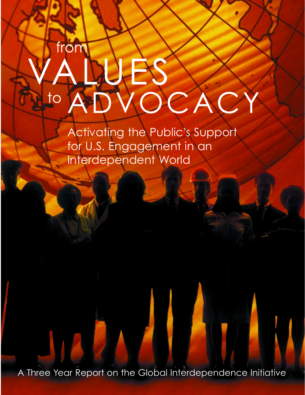# from  $\overline{1}$  $\mathbf C$

Activating the Public's Support for U.S. Engagement in an Interdependent World

A Three Year Report on the Global Interdependence Initiative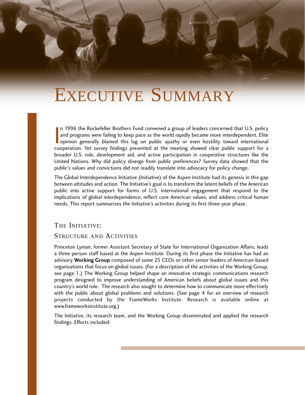# EXECUTIVE SUMMARY

 $\overline{\phantom{0}}$ n 1996 the Rockefeller Brothers Fund convened a group of leaders concerned that U.S. policy and programs were failing to keep pace as the world rapidly became more interdependent. Elite opinion generally blamed this lag on public apathy or even hostility toward international cooperation. Yet survey findings presented at the meeting showed clear public support for a broader U.S. role, development aid, and active participation in cooperative structures like the United Nations. Why did policy diverge from public preferences? Survey data showed that the public's values and convictions did not readily translate into advocacy for policy change.

The Global Interdependence Initiative (Initiative) of the Aspen Institute had its genesis in this gap between attitudes and action. The Initiative's goal is to transform the latent beliefs of the American public into active support for forms of U.S. international engagement that respond to the implications of global interdependence, reflect core American values, and address critical human needs. This report summarizes the Initiative's activities during its first three-year phase.

### THE INITIATIVE:

#### STRUCTURE AND ACTIVITIES

Princeton Lyman, former Assistant Secretary of State for International Organization Affairs, leads a three-person staff based at the Aspen Institute. During its first phase the Initiative has had an advisory **Working Group** composed of some 25 CEOs or other senior leaders of American-based organizations that focus on global issues. (For a description of the activities of the Working Group, see page 1.) The Working Group helped shape an innovative strategic communications research program designed to improve understanding of American beliefs about global issues and this country's world role. The research also sought to determine how to communicate more effectively with the public about global problems and solutions. (See page 4 for an overview of research projects conducted by the FrameWorks Institute. Research is available online at www.frameworksinstitute.org.)

The Initiative, its research team, and the Working Group disseminated and applied the research findings. Efforts included: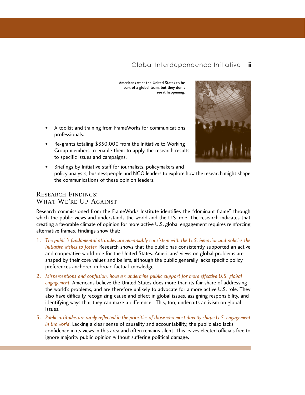Americans want the United States to be part of a global team, but they don't see it happening.

- A toolkit and training from FrameWorks for communications professionals.
- Re-grants totaling \$350,000 from the Initiative to Working Group members to enable them to apply the research results to specific issues and campaigns.



• Briefings by Initiative staff for journalists, policymakers and policy analysts, businesspeople and NGO leaders to explore how the research might shape the communications of these opinion leaders.

### RESEARCH FINDINGS: WHAT WE'RE UP AGAINST

Research commissioned from the FrameWorks Institute identifies the "dominant frame" through which the public views and understands the world and the U.S. role. The research indicates that creating a favorable climate of opinion for more active U.S. global engagement requires reinforcing alternative frames. Findings show that:

- 1. *The public's fundamental attitudes are remarkably consistent with the U.S. behavior and policies the Initiative wishes to foster*. Research shows that the public has consistently supported an active and cooperative world role for the United States. Americans' views on global problems are shaped by their core values and beliefs, although the public generally lacks specific policy preferences anchored in broad factual knowledge.
- 2. *Misperceptions and confusion, however, undermine public support for more effective U.S. global engagement*. Americans believe the United States does more than its fair share of addressing the world's problems, and are therefore unlikely to advocate for a more active U.S. role. They also have difficulty recognizing cause and effect in global issues, assigning responsibility, and identifying ways that they can make a difference. This, too, undercuts activism on global issues.
- 3. *Public attitudes are rarely reflected in the priorities of those who most directly shape U.S. engagement in the world*. Lacking a clear sense of causality and accountability, the public also lacks confidence in its views in this area and often remains silent. This leaves elected officials free to ignore majority public opinion without suffering political damage.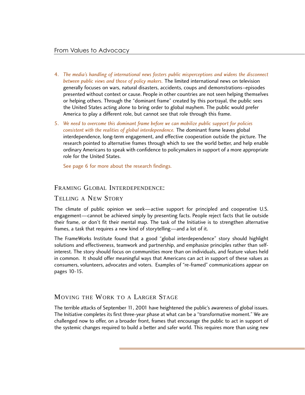- 4. *The media's handling of international news fosters public misperceptions and widens the disconnect between public views and those of policy makers.* The limited international news on television generally focuses on wars, natural disasters, accidents, coups and demonstrations–episodes presented without context or cause. People in other countries are not seen helping themselves or helping others. Through the "dominant frame" created by this portrayal, the public sees the United States acting alone to bring order to global mayhem. The public would prefer America to play a different role, but cannot see that role through this frame.
- 5. *We need to overcome this dominant frame before we can mobilize public support for policies consistent with the realities of global interdependence.* The dominant frame leaves global interdependence, long-term engagement, and effective cooperation outside the picture. The research pointed to alternative frames through which to see the world better, and help enable ordinary Americans to speak with confidence to policymakers in support of a more appropriate role for the United States.

See page 6 for more about the research findings.

#### FRAMING GLOBAL INTERDEPENDENCE:

#### TELLING A NEW STORY

The climate of public opinion we seek—active support for principled and cooperative U.S. engagement—cannot be achieved simply by presenting facts. People reject facts that lie outside their frame, or don't fit their mental map. The task of the Initiative is to strengthen alternative frames, a task that requires a new kind of storytelling—and a lot of it.

The FrameWorks Institute found that a good "global interdependence" story should highlight solutions and effectiveness, teamwork and partnership, and emphasize principles rather than selfinterest. The story should focus on communities more than on individuals, and feature values held in common. It should offer meaningful ways that Americans can act in support of these values as consumers, volunteers, advocates and voters. Examples of "re-framed" communications appear on pages 10-15.

## MOVING THE WORK TO A LARGER STAGE

The terrible attacks of September 11, 2001 have heightened the public's awareness of global issues. The Initiative completes its first three-year phase at what can be a "transformative moment." We are challenged now to offer, on a broader front, frames that encourage the public to act in support of the systemic changes required to build a better and safer world. This requires more than using new